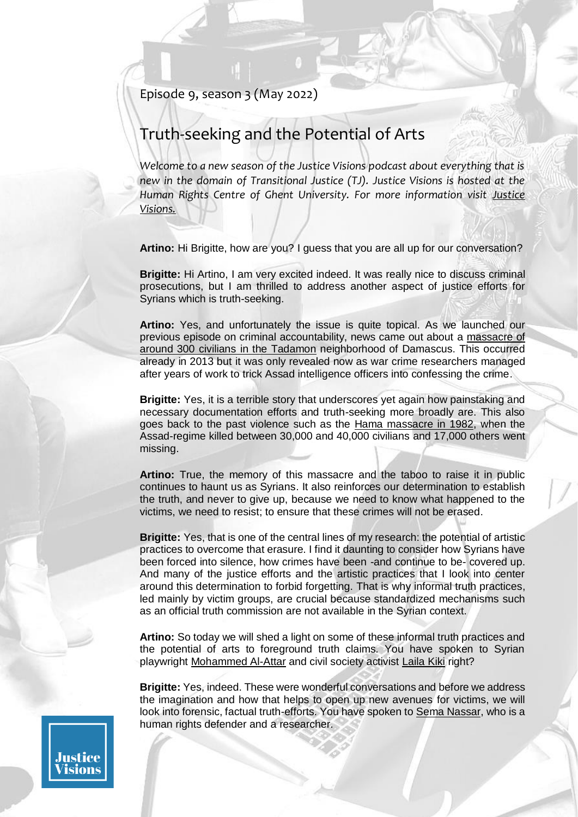## Episode 9, season 3 (May 2022)

# Truth-seeking and the Potential of Arts

*Welcome to a new season of the Justice Visions podcast about everything that is new in the domain of Transitional Justice (TJ). Justice Visions is hosted at the Human Rights Centre of Ghent University. For more information visit Justice [Visions.](https://justicevisions.org/)*

**Artino:** Hi Brigitte, how are you? I guess that you are all up for our conversation?

**Brigitte:** Hi Artino, I am very excited indeed. It was really nice to discuss criminal prosecutions, but I am thrilled to address another aspect of justice efforts for Syrians which is truth-seeking.

**Artino:** Yes, and unfortunately the issue is quite topical. As we launched our previous episode on criminal accountability, news came out about a [massacre of](https://newlinesmag.com/reportage/how-a-massacre-of-nearly-300-in-syria-was-revealed/)  [around 300 civilians in the Tadamon](https://newlinesmag.com/reportage/how-a-massacre-of-nearly-300-in-syria-was-revealed/) neighborhood of Damascus. This occurred already in 2013 but it was only revealed now as war crime researchers managed after years of work to trick Assad intelligence officers into confessing the crime.

**Brigitte:** Yes, it is a terrible story that underscores yet again how painstaking and necessary documentation efforts and truth-seeking more broadly are. This also goes back to the past violence such as the [Hama massacre in 1982,](https://snhr.org/blog/2022/02/28/57397/) when the Assad-regime killed between 30,000 and 40,000 civilians and 17,000 others went missing.

**Artino:** True, the memory of this massacre and the taboo to raise it in public continues to haunt us as Syrians. It also reinforces our determination to establish the truth, and never to give up, because we need to know what happened to the victims, we need to resist; to ensure that these crimes will not be erased.

**Brigitte:** Yes, that is one of the central lines of my research: the potential of artistic practices to overcome that erasure. I find it daunting to consider how Syrians have been forced into silence, how crimes have been -and continue to be- covered up. And many of the justice efforts and the artistic practices that I look into center around this determination to forbid forgetting. That is why informal truth practices, led mainly by victim groups, are crucial because standardized mechanisms such as an official truth commission are not available in the Syrian context.

**Artino:** So today we will shed a light on some of these informal truth practices and the potential of arts to foreground truth claims. You have spoken to Syrian playwright [Mohammed Al-Attar](https://www.wiko-berlin.de/fellows/akademisches-jahr/2021/al-attar-mohammad) and civil society activist [Laila Kiki](https://thesyriacampaign.org/) right?

**Brigitte:** Yes, indeed. These were wonderful conversations and before we address the imagination and how that helps to open up new avenues for victims, we will look into forensic, factual truth-efforts. You have spoken to [Sema Nassar,](https://twitter.com/semanassar) who is a human rights defender and a researcher.

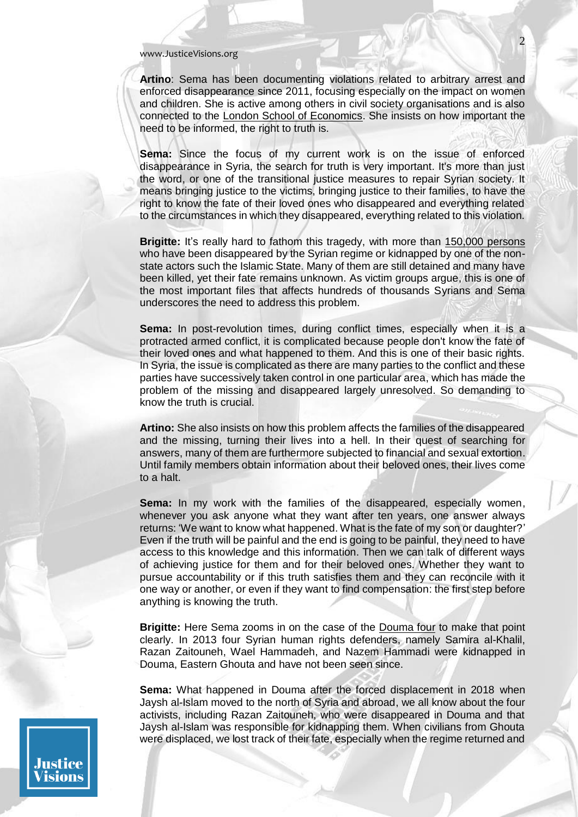**Artino**: Sema has been documenting violations related to arbitrary arrest and enforced disappearance since 2011, focusing especially on the impact on women and children. She is active among others in civil society organisations and is also connected to the [London School of Economics.](http://eprints.lse.ac.uk/106206/) She insists on how important the need to be informed, the right to truth is.

**Sema:** Since the focus of my current work is on the issue of enforced disappearance in Syria, the search for truth is very important. It's more than just the word, or one of the transitional justice measures to repair Syrian society. It means bringing justice to the victims, bringing justice to their families, to have the right to know the fate of their loved ones who disappeared and everything related to the circumstances in which they disappeared, everything related to this violation.

**Brigitte:** It's really hard to fathom this tragedy, with more than [150,000 persons](https://snhr.org/blog/2021/12/30/57194/) who have been disappeared by the Syrian regime or kidnapped by one of the nonstate actors such the Islamic State. Many of them are still detained and many have been killed, yet their fate remains unknown. As victim groups argue, this is one of the most important files that affects hundreds of thousands Syrians and Sema underscores the need to address this problem.

**Sema:** In post-revolution times, during conflict times, especially when it is a protracted armed conflict, it is complicated because people don't know the fate of their loved ones and what happened to them. And this is one of their basic rights. In Syria, the issue is complicated as there are many parties to the conflict and these parties have successively taken control in one particular area, which has made the problem of the missing and disappeared largely unresolved. So demanding to know the truth is crucial.

**Artino:** She also insists on how this problem affects the families of the disappeared and the missing, turning their lives into a hell. In their quest of searching for answers, many of them are furthermore subjected to financial and sexual extortion. Until family members obtain information about their beloved ones, their lives come to a halt.

**Sema:** In my work with the families of the disappeared, especially women, whenever you ask anyone what they want after ten years, one answer always returns: 'We want to know what happened. What is the fate of my son or daughter?' Even if the truth will be painful and the end is going to be painful, they need to have access to this knowledge and this information. Then we can talk of different ways of achieving justice for them and for their beloved ones. Whether they want to pursue accountability or if this truth satisfies them and they can reconcile with it one way or another, or even if they want to find compensation: the first step before anything is knowing the truth.

**Brigitte:** Here Sema zooms in on the case of the [Douma four](https://act.thesyriacampaign.org/sign/douma-4/) to make that point clearly. In 2013 four Syrian human rights defenders, namely Samira al-Khalil, Razan Zaitouneh, Wael Hammadeh, and Nazem Hammadi were kidnapped in Douma, Eastern Ghouta and have not been seen since.

**Sema:** What happened in Douma after the forced displacement in 2018 when Jaysh al-Islam moved to the north of Syria and abroad, we all know about the four activists, including Razan Zaitouneh, who were disappeared in Douma and that Jaysh al-Islam was responsible for kidnapping them. When civilians from Ghouta were displaced, we lost track of their fate, especially when the regime returned and

Justice isions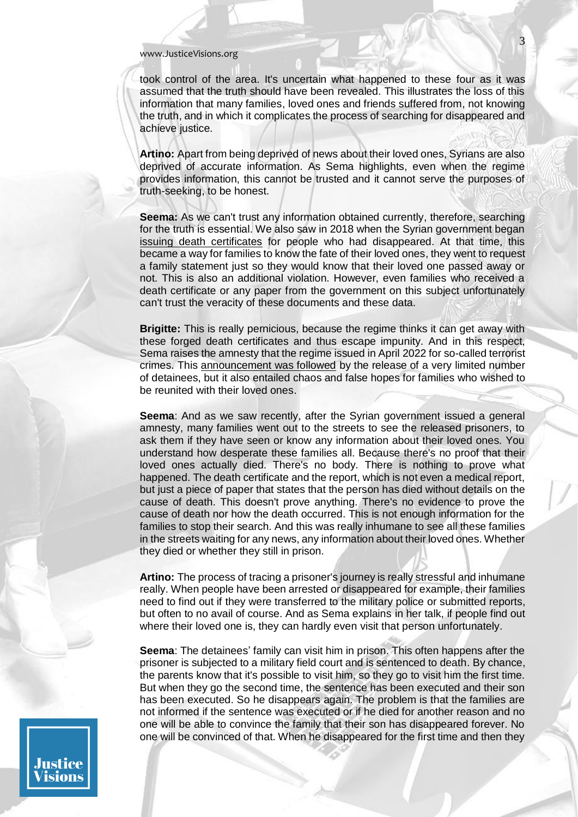took control of the area. It's uncertain what happened to these four as it was assumed that the truth should have been revealed. This illustrates the loss of this information that many families, loved ones and friends suffered from, not knowing the truth, and in which it complicates the process of searching for disappeared and achieve justice.

**Artino:** Apart from being deprived of news about their loved ones, Syrians are also deprived of accurate information. As Sema highlights, even when the regime provides information, this cannot be trusted and it cannot serve the purposes of truth-seeking, to be honest.

**Seema:** As we can't trust any information obtained currently, therefore, searching for the truth is essential. We also saw in 2018 when the Syrian government began [issuing death certificates](https://snhr.org/blog/2018/07/13/52450/) for people who had disappeared. At that time, this became a way for families to know the fate of their loved ones, they went to request a family statement just so they would know that their loved one passed away or not. This is also an additional violation. However, even families who received a death certificate or any paper from the government on this subject unfortunately can't trust the veracity of these documents and these data.

**Brigitte:** This is really pernicious, because the regime thinks it can get away with these forged death certificates and thus escape impunity. And in this respect, Sema raises the amnesty that the regime issued in April 2022 for so-called terrorist crimes. This [announcement was followed](https://syriaaccountability.org/chaos-and-false-hope-after-the-general-amnesty-decree/#:~:text=Last%20week%2C%20the%20Syrian%20government,reunited%20with%20their%20loved%20ones.) by the release of a very limited number of detainees, but it also entailed chaos and false hopes for families who wished to be reunited with their loved ones.

**Seema**: And as we saw recently, after the Syrian government issued a general amnesty, many families went out to the streets to see the released prisoners, to ask them if they have seen or know any information about their loved ones. You understand how desperate these families all. Because there's no proof that their loved ones actually died. There's no body. There is nothing to prove what happened. The death certificate and the report, which is not even a medical report, but just a piece of paper that states that the person has died without details on the cause of death. This doesn't prove anything. There's no evidence to prove the cause of death nor how the death occurred. This is not enough information for the families to stop their search. And this was really inhumane to see all these families in the streets waiting for any news, any information about their loved ones. Whether they died or whether they still in prison.

**Artino:** The process of tracing a prisoner's journey is really stressful and inhumane really. When people have been arrested or disappeared for example, their families need to find out if they were transferred to the military police or submitted reports, but often to no avail of course. And as Sema explains in her talk, if people find out where their loved one is, they can hardly even visit that person unfortunately.

**Seema**: The detainees' family can visit him in prison. This often happens after the prisoner is subjected to a military field court and is sentenced to death. By chance, the parents know that it's possible to visit him, so they go to visit him the first time. But when they go the second time, the sentence has been executed and their son has been executed. So he disappears again. The problem is that the families are not informed if the sentence was executed or if he died for another reason and no one will be able to convince the family that their son has disappeared forever. No one will be convinced of that. When he disappeared for the first time and then they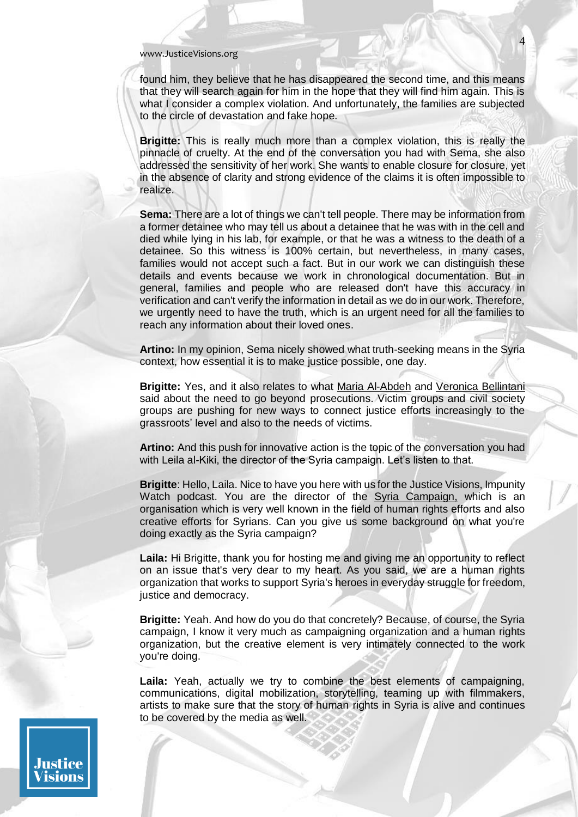Justice isions

found him, they believe that he has disappeared the second time, and this means that they will search again for him in the hope that they will find him again. This is what I consider a complex violation. And unfortunately, the families are subjected to the circle of devastation and fake hope.

**Brigitte:** This is really much more than a complex violation, this is really the pinnacle of cruelty. At the end of the conversation you had with Sema, she also addressed the sensitivity of her work. She wants to enable closure for closure, yet in the absence of clarity and strong evidence of the claims it is often impossible to realize.

**Sema:** There are a lot of things we can't tell people. There may be information from a former detainee who may tell us about a detainee that he was with in the cell and died while lying in his lab, for example, or that he was a witness to the death of a detainee. So this witness is 100% certain, but nevertheless, in many cases, families would not accept such a fact. But in our work we can distinguish these details and events because we work in chronological documentation. But in general, families and people who are released don't have this accuracy in verification and can't verify the information in detail as we do in our work. Therefore, we urgently need to have the truth, which is an urgent need for all the families to reach any information about their loved ones.

**Artino:** In my opinion, Sema nicely showed what truth-seeking means in the Syria context, how essential it is to make justice possible, one day.

**Brigitte:** Yes, and it also relates to what [Maria Al-Abdeh](https://justicevisions.org/podcast/breaking-the-syrian-justice-impasse/) and [Veronica Bellintani](https://justicevisions.org/podcast/criminal-accountability-for-syrians-and-beyond/) said about the need to go beyond prosecutions. Victim groups and civil society groups are pushing for new ways to connect justice efforts increasingly to the grassroots' level and also to the needs of victims.

**Artino:** And this push for innovative action is the topic of the conversation you had with Leila al-Kiki, the director of the Syria campaign. Let's listen to that.

**Brigitte**: Hello, Laila. Nice to have you here with us for the Justice Visions, Impunity Watch podcast. You are the director of the [Syria Campaign,](https://thesyriacampaign.org/) which is an organisation which is very well known in the field of human rights efforts and also creative efforts for Syrians. Can you give us some background on what you're doing exactly as the Syria campaign?

**Laila:** Hi Brigitte, thank you for hosting me and giving me an opportunity to reflect on an issue that's very dear to my heart. As you said, we are a human rights organization that works to support Syria's heroes in everyday struggle for freedom, justice and democracy.

**Brigitte:** Yeah. And how do you do that concretely? Because, of course, the Syria campaign, I know it very much as campaigning organization and a human rights organization, but the creative element is very intimately connected to the work you're doing.

**Laila:** Yeah, actually we try to combine the best elements of campaigning, communications, digital mobilization, storytelling, teaming up with filmmakers, artists to make sure that the story of human rights in Syria is alive and continues to be covered by the media as well.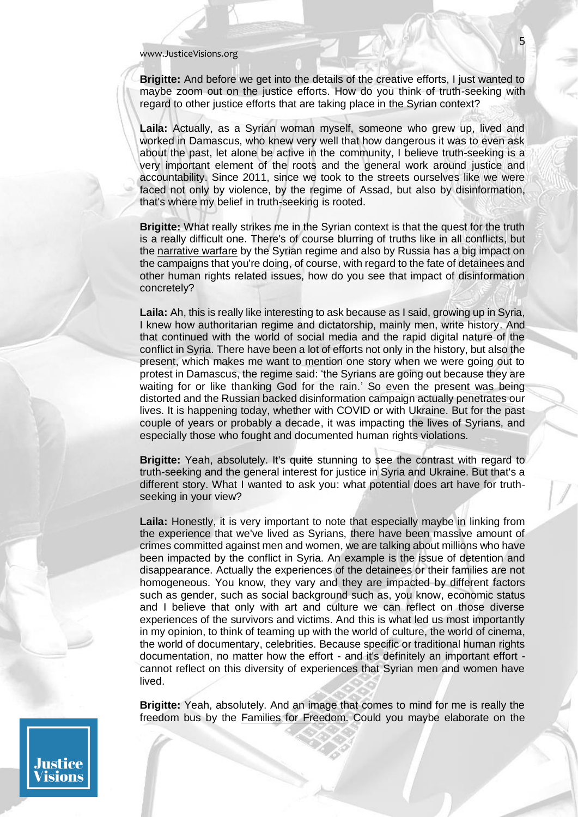**Brigitte:** And before we get into the details of the creative efforts, I just wanted to maybe zoom out on the justice efforts. How do you think of truth-seeking with regard to other justice efforts that are taking place in the Syrian context?

5

**Laila:** Actually, as a Syrian woman myself, someone who grew up, lived and worked in Damascus, who knew very well that how dangerous it was to even ask about the past, let alone be active in the community, I believe truth-seeking is a very important element of the roots and the general work around justice and accountability. Since 2011, since we took to the streets ourselves like we were faced not only by violence, by the regime of Assad, but also by disinformation, that's where my belief in truth-seeking is rooted.

**Brigitte:** What really strikes me in the Syrian context is that the quest for the truth is a really difficult one. There's of course blurring of truths like in all conflicts, but the [narrative warfare](https://aljumhuriya.net/en/2019/06/07/narrative-war-coming/) by the Syrian regime and also by Russia has a big impact on the campaigns that you're doing, of course, with regard to the fate of detainees and other human rights related issues, how do you see that impact of disinformation concretely?

**Laila:** Ah, this is really like interesting to ask because as I said, growing up in Syria, I knew how authoritarian regime and dictatorship, mainly men, write history. And that continued with the world of social media and the rapid digital nature of the conflict in Syria. There have been a lot of efforts not only in the history, but also the present, which makes me want to mention one story when we were going out to protest in Damascus, the regime said: 'the Syrians are going out because they are waiting for or like thanking God for the rain.' So even the present was being distorted and the Russian backed disinformation campaign actually penetrates our lives. It is happening today, whether with COVID or with Ukraine. But for the past couple of years or probably a decade, it was impacting the lives of Syrians, and especially those who fought and documented human rights violations.

**Brigitte:** Yeah, absolutely. It's quite stunning to see the contrast with regard to truth-seeking and the general interest for justice in Syria and Ukraine. But that's a different story. What I wanted to ask you: what potential does art have for truthseeking in your view?

**Laila:** Honestly, it is very important to note that especially maybe in linking from the experience that we've lived as Syrians, there have been massive amount of crimes committed against men and women, we are talking about millions who have been impacted by the conflict in Syria. An example is the issue of detention and disappearance. Actually the experiences of the detainees or their families are not homogeneous. You know, they vary and they are impacted by different factors such as gender, such as social background such as, you know, economic status and I believe that only with art and culture we can reflect on those diverse experiences of the survivors and victims. And this is what led us most importantly in my opinion, to think of teaming up with the world of culture, the world of cinema, the world of documentary, celebrities. Because specific or traditional human rights documentation, no matter how the effort - and it's definitely an important effort cannot reflect on this diversity of experiences that Syrian men and women have lived.

**Brigitte:** Yeah, absolutely. And an image that comes to mind for me is really the freedom bus by the [Families for Freedom.](https://familiesforfreedom.org/) Could you maybe elaborate on the

Justice isions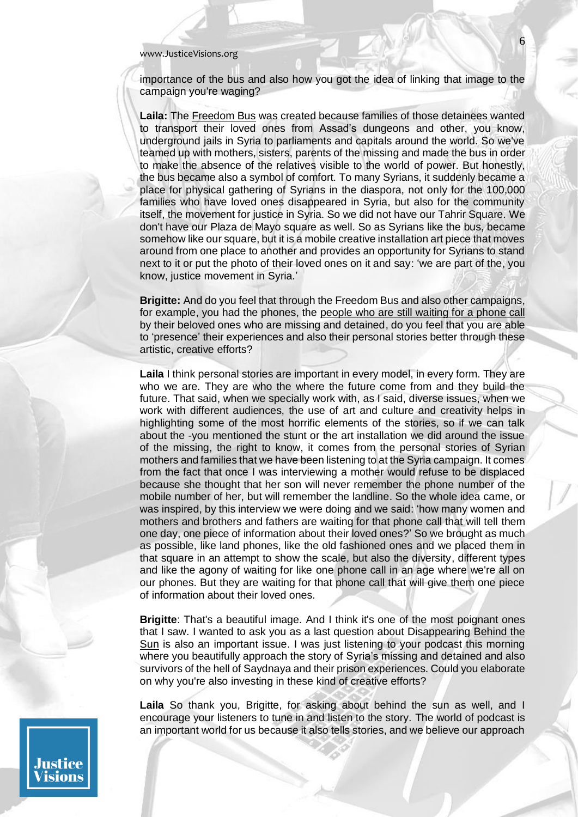importance of the bus and also how you got the idea of linking that image to the campaign you're waging?

**Laila:** The [Freedom Bus](https://www.facebook.com/TheSyriaCampaign/posts/today-our-freedom-bus-begins-its-journey-driving-across-the-world-knocking-on-ev/1537973176294690/) was created because families of those detainees wanted to transport their loved ones from Assad's dungeons and other, you know, underground jails in Syria to parliaments and capitals around the world. So we've teamed up with mothers, sisters, parents of the missing and made the bus in order to make the absence of the relatives visible to the world of power. But honestly, the bus became also a symbol of comfort. To many Syrians, it suddenly became a place for physical gathering of Syrians in the diaspora, not only for the 100,000 families who have loved ones disappeared in Syria, but also for the community itself, the movement for justice in Syria. So we did not have our Tahrir Square. We don't have our Plaza de Mayo square as well. So as Syrians like the bus, became somehow like our square, but it is a mobile creative installation art piece that moves around from one place to another and provides an opportunity for Syrians to stand next to it or put the photo of their loved ones on it and say: 'we are part of the, you know, justice movement in Syria.'

**Brigitte:** And do you feel that through the Freedom Bus and also other campaigns, for example, you had the phones, the [people who are still waiting for a phone call](https://diary.thesyriacampaign.org/willing-the-phone-to-ring/) by their beloved ones who are missing and detained, do you feel that you are able to 'presence' their experiences and also their personal stories better through these artistic, creative efforts?

**Laila** I think personal stories are important in every model, in every form. They are who we are. They are who the where the future come from and they build the future. That said, when we specially work with, as I said, diverse issues, when we work with different audiences, the use of art and culture and creativity helps in highlighting some of the most horrific elements of the stories, so if we can talk about the -you mentioned the stunt or the art installation we did around the issue of the missing, the right to know, it comes from the personal stories of Syrian mothers and families that we have been listening to at the Syria campaign. It comes from the fact that once I was interviewing a mother would refuse to be displaced because she thought that her son will never remember the phone number of the mobile number of her, but will remember the landline. So the whole idea came, or was inspired, by this interview we were doing and we said: 'how many women and mothers and brothers and fathers are waiting for that phone call that will tell them one day, one piece of information about their loved ones?' So we brought as much as possible, like land phones, like the old fashioned ones and we placed them in that square in an attempt to show the scale, but also the diversity, different types and like the agony of waiting for like one phone call in an age where we're all on our phones. But they are waiting for that phone call that will give them one piece of information about their loved ones.

**Brigitte**: That's a beautiful image. And I think it's one of the most poignant ones that I saw. I wanted to ask you as a last question about Disappearing [Behind the](https://messageheard.com/podcasts/behind-the-sun)  [Sun](https://messageheard.com/podcasts/behind-the-sun) is also an important issue. I was just listening to your podcast this morning where you beautifully approach the story of Syria's missing and detained and also survivors of the hell of Saydnaya and their prison experiences. Could you elaborate on why you're also investing in these kind of creative efforts?

**Laila** So thank you, Brigitte, for asking about behind the sun as well, and I encourage your listeners to tune in and listen to the story. The world of podcast is an important world for us because it also tells stories, and we believe our approach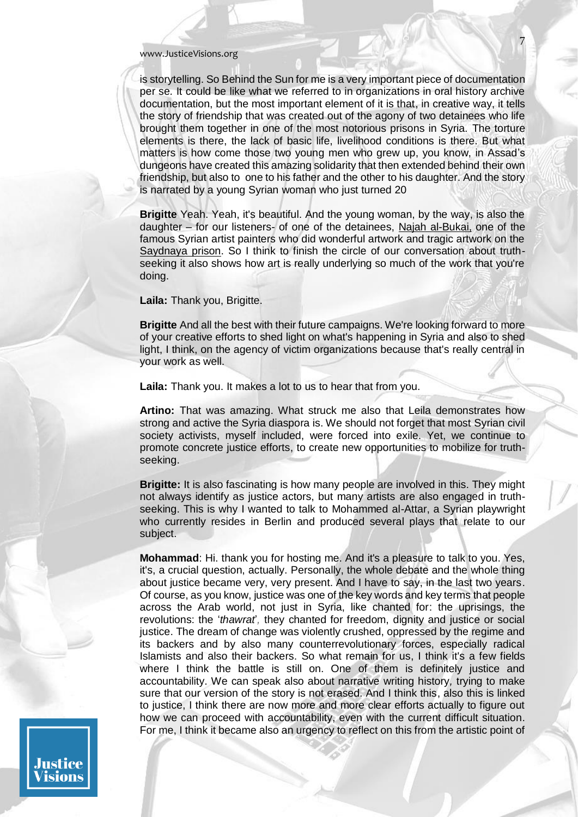is storytelling. So Behind the Sun for me is a very important piece of documentation per se*.* It could be like what we referred to in organizations in oral history archive documentation, but the most important element of it is that, in creative way, it tells the story of friendship that was created out of the agony of two detainees who life brought them together in one of the most notorious prisons in Syria. The torture elements is there, the lack of basic life, livelihood conditions is there. But what matters is how come those two young men who grew up, you know, in Assad's dungeons have created this amazing solidarity that then extended behind their own friendship, but also to one to his father and the other to his daughter. And the story is narrated by a young Syrian woman who just turned 20

**Brigitte** Yeah. Yeah, it's beautiful. And the young woman, by the way, is also the daughter – for our listeners- of one of the detainees, [Najah al-Bukai,](https://www.nytimes.com/2018/02/02/world/middleeast/syria-torture-artist-najah-al-bukai.html) one of the famous Syrian artist painters who did wonderful artwork and tragic artwork on the [Saydnaya](https://saydnaya.amnesty.org/en/saydnaya.html) prison. So I think to finish the circle of our conversation about truthseeking it also shows how art is really underlying so much of the work that you're doing.

**Laila:** Thank you, Brigitte.

**Brigitte** And all the best with their future campaigns. We're looking forward to more of your creative efforts to shed light on what's happening in Syria and also to shed light, I think, on the agency of victim organizations because that's really central in your work as well.

**Laila:** Thank you. It makes a lot to us to hear that from you.

**Artino:** That was amazing. What struck me also that Leila demonstrates how strong and active the Syria diaspora is. We should not forget that most Syrian civil society activists, myself included, were forced into exile. Yet, we continue to promote concrete justice efforts, to create new opportunities to mobilize for truthseeking.

**Brigitte:** It is also fascinating is how many people are involved in this. They might not always identify as justice actors, but many artists are also engaged in truthseeking. This is why I wanted to talk to Mohammed al-Attar, a Syrian playwright who currently resides in Berlin and produced several plays that relate to our subject.

**Mohammad**: Hi. thank you for hosting me. And it's a pleasure to talk to you. Yes, it's, a crucial question, actually. Personally, the whole debate and the whole thing about justice became very, very present. And I have to say, in the last two years. Of course, as you know, justice was one of the key words and key terms that people across the Arab world, not just in Syria, like chanted for: the uprisings, the revolutions: the '*thawrat*'*,* they chanted for freedom, dignity and justice or social justice. The dream of change was violently crushed, oppressed by the regime and its backers and by also many counterrevolutionary forces, especially radical Islamists and also their backers. So what remain for us, I think it's a few fields where I think the battle is still on. One of them is definitely justice and accountability. We can speak also about narrative writing history*,* trying to make sure that our version of the story is not erased. And I think this, also this is linked to justice, I think there are now more and more clear efforts actually to figure out how we can proceed with accountability, even with the current difficult situation. For me, I think it became also an urgency to reflect on this from the artistic point of

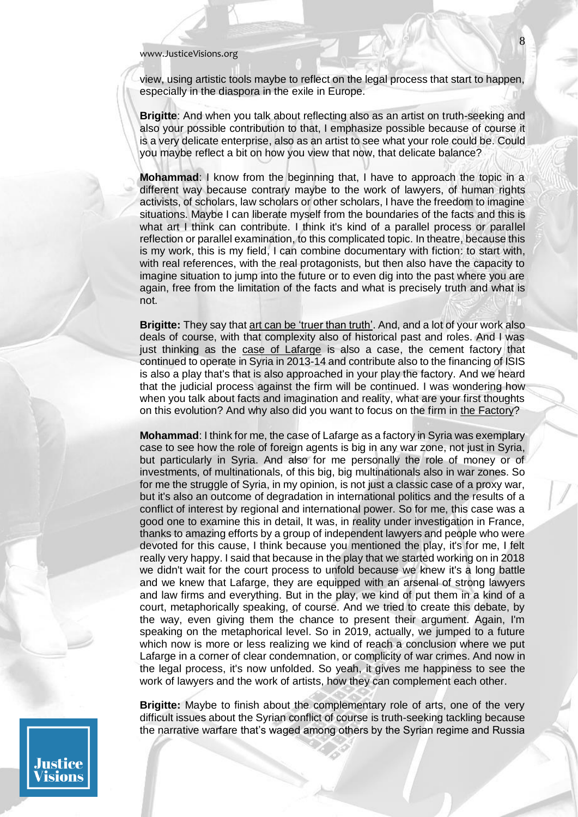view, using artistic tools maybe to reflect on the legal process that start to happen, especially in the diaspora in the exile in Europe.

**Brigitte**: And when you talk about reflecting also as an artist on truth-seeking and also your possible contribution to that, I emphasize possible because of course it is a very delicate enterprise, also as an artist to see what your role could be. Could you maybe reflect a bit on how you view that now, that delicate balance?

**Mohammad**: I know from the beginning that, I have to approach the topic in a different way because contrary maybe to the work of lawyers, of human rights activists, of scholars, law scholars or other scholars, I have the freedom to imagine situations. Maybe I can liberate myself from the boundaries of the facts and this is what art I think can contribute. I think it's kind of a parallel process or parallel reflection or parallel examination, to this complicated topic. In theatre, because this is my work, this is my field, I can combine documentary with fiction: to start with, with real references, with the real protagonists, but then also have the capacity to imagine situation to jump into the future or to even dig into the past where you are again, free from the limitation of the facts and what is precisely truth and what is not.

**Brigitte:** They say tha[t art can be 'truer than truth'.](https://www.researchgate.net/publication/324090613_Storytelling_and_fraught_histories_Phila_Ndwandwe) And, and a lot of your work also deals of course, with that complexity also of historical past and roles. And I was just thinking as the [case of Lafarge](https://www.ecchr.eu/en/case/lafarge-in-syria-accusations-of-complicity-in-grave-human-rights-violations/) is also a case, the cement factory that continued to operate in Syria in 2013-14 and contribute also to the financing of ISIS is also a play that's that is also approached in your play the factory. And we heard that the judicial process against the firm will be continued. I was wondering how when you talk about facts and imagination and reality, what are your first thoughts on this evolution? And why also did you want to focus on the firm in [the Factory?](https://www.onassis.org/whats-on/the-factory)

**Mohammad**: I think for me, the case of Lafarge as a factory in Syria was exemplary case to see how the role of foreign agents is big in any war zone, not just in Syria, but particularly in Syria. And also for me personally the role of money or of investments, of multinationals, of this big, big multinationals also in war zones. So for me the struggle of Syria, in my opinion, is not just a classic case of a proxy war, but it's also an outcome of degradation in international politics and the results of a conflict of interest by regional and international power. So for me, this case was a good one to examine this in detail, It was, in reality under investigation in France, thanks to amazing efforts by a group of independent lawyers and people who were devoted for this cause, I think because you mentioned the play, it's for me, I felt really very happy. I said that because in the play that we started working on in 2018 we didn't wait for the court process to unfold because we knew it's a long battle and we knew that Lafarge, they are equipped with an arsenal of strong lawyers and law firms and everything. But in the play, we kind of put them in a kind of a court, metaphorically speaking, of course. And we tried to create this debate, by the way, even giving them the chance to present their argument. Again, I'm speaking on the metaphorical level. So in 2019, actually, we jumped to a future which now is more or less realizing we kind of reach a conclusion where we put Lafarge in a corner of clear condemnation, or complicity of war crimes. And now in the legal process, it's now unfolded. So yeah, it gives me happiness to see the work of lawyers and the work of artists, how they can complement each other.

**Brigitte:** Maybe to finish about the complementary role of arts, one of the very difficult issues about the Syrian conflict of course is truth-seeking tackling because the narrative warfare that's waged among others by the Syrian regime and Russia

Justice isions